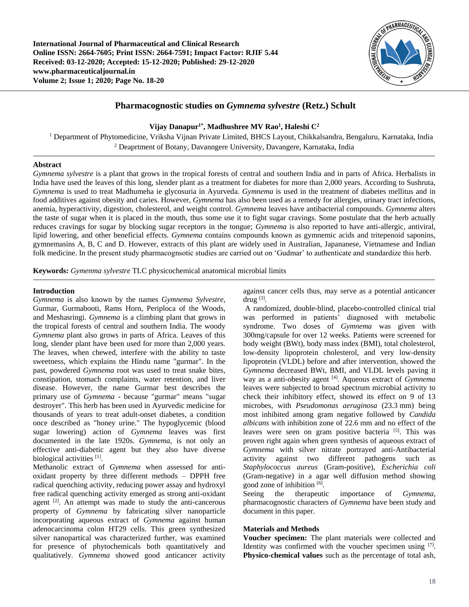**International Journal of Pharmaceutical and Clinical Research Online ISSN: 2664-7605; Print ISSN: 2664-7591; Impact Factor: RJIF 5.44 Received: 03-12-2020; Accepted: 15-12-2020; Published: 29-12-2020 www.pharmaceuticaljournal.in Volume 2; Issue 1; 2020; Page No. 18-20**



# **Pharmacognostic studies on** *Gymnema sylvestre* **(Retz.) Schult**

# **Vijay Danapur1\* , Madhushree MV Rao<sup>1</sup> , Haleshi C<sup>2</sup>**

<sup>1</sup> Department of Phytomedicine, Vriksha Vijnan Private Limited, BHCS Layout, Chikkalsandra, Bengaluru, Karnataka, India <sup>2</sup> Deaprtment of Botany, Davanngere University, Davangere, Karnataka, India

# **Abstract**

*Gymnema sylvestre* is a plant that grows in the tropical forests of central and southern India and in parts of Africa. Herbalists in India have used the leaves of this long, slender plant as a treatment for diabetes for more than 2,000 years. According to Sushruta, *Gymnema* is used to treat Madhumeha ie glycosuria in Ayurveda. *Gymnema* is used in the treatment of diabetes mellitus and in food additives against obesity and caries. However, *Gymnema* has also been used as a remedy for allergies, urinary tract infections, anemia, hyperactivity, digestion, cholesterol, and weight control. *Gymnema* leaves have antibacterial compounds. *Gymnema* alters the taste of sugar when it is placed in the mouth, thus some use it to fight sugar cravings. Some postulate that the herb actually reduces cravings for sugar by blocking sugar receptors in the tongue; *Gymnema* is also reported to have anti-allergic, antiviral, lipid lowering, and other beneficial effects. *Gymnema* contains compounds known as gymnemic acids and tritepenoid saponins, gymnemasins A, B, C and D. However, extracts of this plant are widely used in Australian, Japananese, Vietnamese and Indian folk medicine. In the present study pharmacognsotic studies are carried out on 'Gudmar' to authenticate and standardize this herb.

**Keywords:** *Gymenma sylvestre* TLC physicochemical anatomical microbial limits

#### **Introduction**

*Gymnema* is also known by the names *Gymnema Sylvestre*, Gurmar, Gurmabooti, Rams Horn, Periploca of the Woods, and Meshasringi. *Gymnema* is a climbing plant that grows in the tropical forests of central and southern India. The woody *Gymnema* plant also grows in parts of Africa. Leaves of this long, slender plant have been used for more than 2,000 years. The leaves, when chewed, interfere with the ability to taste sweetness, which explains the Hindu name "gurmar". In the past, powdered *Gymnema* root was used to treat snake bites, constipation, stomach complaints, water retention, and liver disease. However, the name Gurmar best describes the primary use of *Gymnema* - because "gurmar" means "sugar destroyer". This herb has been used in Ayurvedic medicine for thousands of years to treat adult-onset diabetes, a condition once described as "honey urine." The hypoglycemic (blood sugar lowering) action of *Gymnema* leaves was first documented in the late 1920s. *Gymnema,* is not only an effective anti-diabetic agent but they also have diverse biological activities [1].

Methanolic extract of *Gymnema* when assessed for antioxidant property by three different methods – DPPH free radical quenching activity, reducing power assay and hydroxyl free radical quenching activity emerged as strong anti-oxidant agent [2]. An attempt was made to study the anti-cancerous property of *Gymnema* by fabricating silver nanoparticle incorporating aqueous extract of *Gymnema* against human adenocarcinoma colon HT29 cells. This green synthesized silver nanopartical was characterized further, was examined for presence of phytochemicals both quantitatively and qualitatively. *Gymnema* showed good anticancer activity

against cancer cells thus, may serve as a potential anticancer drug  $^{[3]}$ .

A randomized, double-blind, placebo-controlled clinical trial was performed in patients' diagnosed with metabolic syndrome. Two doses of *Gymnema* was given with 300mg/capsule for over 12 weeks. Patients were screened for body weight (BWt), body mass index (BMI), total cholesterol, low-density lipoprotein cholesterol, and very low-density lipoprotein (VLDL) before and after intervention, showed the *Gymnema* decreased BWt, BMI, and VLDL levels paving it way as a anti-obesity agent [4]. Aqueous extract of *Gymnema* leaves were subjected to broad spectrum microbial activity to check their inhibitory effect, showed its effect on 9 of 13 microbes, with *Pseudomonas aeruginosa* (23.3 mm) being most inhibited among gram negative followed by *Candida albicans* with inhibition zone of 22.6 mm and no effect of the leaves were seen on gram positive bacteria <sup>[5]</sup>. This was proven right again when green synthesis of aqueous extract of *Gymnema* with silver nitrate portrayed anti-Antibacterial activity against two different pathogens such as *Staphylococcus aureus* (Gram-positive), *Escherichia coli* (Gram-negative) in a agar well diffusion method showing good zone of inhibition [6].

Seeing the therapeutic importance of *Gymnema*, pharmacognostic characters of *Gymnema* have been study and document in this paper.

# **Materials and Methods**

**Voucher specimen:** The plant materials were collected and Identity was confirmed with the voucher specimen using [7]. **Physico-chemical values** such as the percentage of total ash,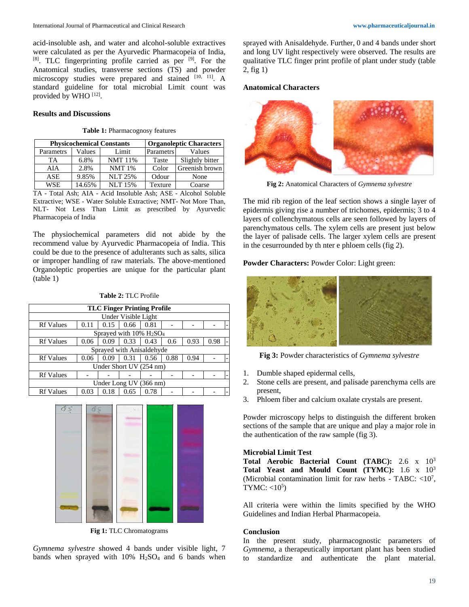acid-insoluble ash, and water and alcohol-soluble extractives were calculated as per the Ayurvedic Pharmacopeia of India, [8]. TLC fingerprinting profile carried as per <sup>[9]</sup>. For the Anatomical studies, transverse sections (TS) and powder microscopy studies were prepared and stained  $[10, 11]$ . A standard guideline for total microbial Limit count was provided by WHO [12].

# **Results and Discussions**

#### **Table 1:** Pharmacognosy features

|           | <b>Physicochemical Constants</b> | <b>Organoleptic Characters</b> |           |                 |  |
|-----------|----------------------------------|--------------------------------|-----------|-----------------|--|
| Parametrs | Values                           | Limit                          | Parametrs | Values          |  |
| TA        | 6.8%                             | <b>NMT</b> 11%                 | Taste     | Slightly bitter |  |
| AIA       | 2.8%                             | <b>NMT 1%</b>                  | Color     | Greenish brown  |  |
| ASE       | 9.85%                            | <b>NLT 25%</b>                 | Odour     | None            |  |
| WSE       | 14.65%                           | <b>NLT 15%</b>                 | Texture   | Coarse          |  |

TA - Total Ash; AIA - Acid Insoluble Ash; ASE - Alcohol Soluble Extractive; WSE - Water Soluble Extractive; NMT- Not More Than, NLT- Not Less Than Limit as prescribed by Ayurvedic Pharmacopeia of India

The physiochemical parameters did not abide by the recommend value by Ayurvedic Pharmacopeia of India. This could be due to the presence of adulterants such as salts, silica or improper handling of raw materials. The above-mentioned Organoleptic properties are unique for the particular plant (table 1)

#### **Table 2:** TLC Profile

| <b>TLC Finger Printing Profile</b>                 |      |      |      |      |      |      |      |  |  |  |  |
|----------------------------------------------------|------|------|------|------|------|------|------|--|--|--|--|
| Under Visible Light                                |      |      |      |      |      |      |      |  |  |  |  |
| <b>Rf</b> Values                                   | 0.11 | 0.15 | 0.66 | 0.81 |      |      |      |  |  |  |  |
| Sprayed with $10\%$ H <sub>2</sub> SO <sub>4</sub> |      |      |      |      |      |      |      |  |  |  |  |
| <b>Rf Values</b>                                   | 0.06 | 0.09 | 0.33 | 0.43 | 0.6  | 0.93 | 0.98 |  |  |  |  |
| Sprayed with Anisaldehyde                          |      |      |      |      |      |      |      |  |  |  |  |
| <b>Rf Values</b>                                   | 0.06 | 0.09 | 0.31 | 0.56 | 0.88 | 0.94 |      |  |  |  |  |
| Under Short UV (254 nm)                            |      |      |      |      |      |      |      |  |  |  |  |
| <b>Rf Values</b>                                   |      |      |      |      |      |      |      |  |  |  |  |
| Under Long UV (366 nm)                             |      |      |      |      |      |      |      |  |  |  |  |
| <b>Rf Values</b>                                   | 0.03 | 0.18 | 0.65 | 0.78 |      |      |      |  |  |  |  |



**Fig 1:** TLC Chromatograms

*Gymnema sylvestre* showed 4 bands under visible light, 7 bands when sprayed with  $10\%$   $H_2SO_4$  and 6 bands when

sprayed with Anisaldehyde. Further, 0 and 4 bands under short and long UV light respectively were observed. The results are qualitative TLC finger print profile of plant under study (table 2, fig 1)

#### **Anatomical Characters**



**Fig 2:** Anatomical Characters of *Gymnema sylvestre*

The mid rib region of the leaf section shows a single layer of epidermis giving rise a number of trichomes, epidermis; 3 to 4 layers of collenchymatous cells are seen followed by layers of parenchymatous cells. The xylem cells are present just below the layer of palisade cells. The larger xylem cells are present in the cesurrounded by th nter e phloem cells (fig 2).

#### **Powder Characters:** Powder Color: Light green:



**Fig 3:** Powder characteristics of *Gymnema sylvestre*

- 1. Dumble shaped epidermal cells,
- 2. Stone cells are present, and palisade parenchyma cells are present,
- 3. Phloem fiber and calcium oxalate crystals are present.

Powder microscopy helps to distinguish the different broken sections of the sample that are unique and play a major role in the authentication of the raw sample (fig 3).

#### **Microbial Limit Test**

**Total Aerobic Bacterial Count (TABC):** 2.6 x 10<sup>3</sup> **Total Yeast and Mould Count (TYMC):** 1.6 x 10<sup>3</sup> (Microbial contamination limit for raw herbs - TABC: <10<sup>7</sup>, TYMC:  $<10<sup>5</sup>$ )

All criteria were within the limits specified by the WHO Guidelines and Indian Herbal Pharmacopeia.

#### **Conclusion**

In the present study, pharmacognostic parameters of *Gymnema*, a therapeutically important plant has been studied to standardize and authenticate the plant material.